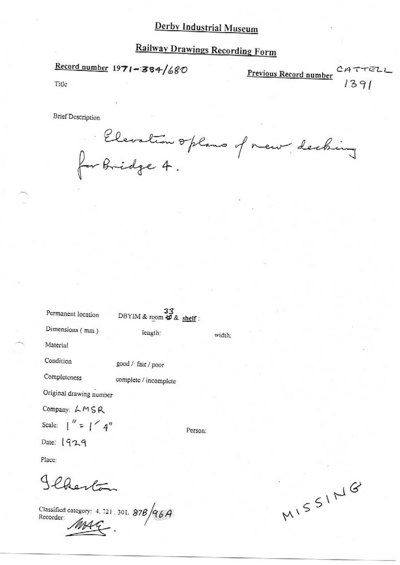## **Railway Drawings Recording Form**

Record number  $1971 - 384/680$ 

CATTELL<br> $1391$ Previous Record number

Title

**Brief Description** 

Elevation oplans of new decking

width:

Permanent location

DBYIM & room  $\overset{33}{\sharp}$  & shelf:

length:

Dimensions (mm)

Material

Condition

good / fair / poor

Completeness

complete / incomplete

Original drawing number

Company: LMSR

Scale:  $\int_0^{\pi}$  =  $\int_0^{\pi}$  4"

Date:  $1929$ 

Person:

Place:

Jeherton

Classified category: 4. 721. 301. 87B  $/96A$ <br>Recorder:

MISSING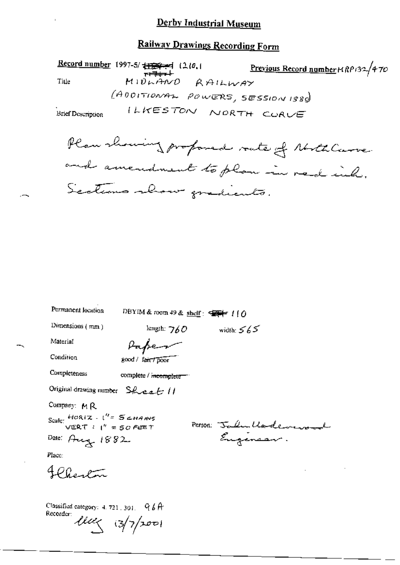#### **Railway Drawings Recording Form**

Record number 1997-5/ 1124-4 (210.1 Previous Record number MRP132/470  $M10h$ AND RAILWAY Title (ADDITIONAL POWERS, SESSION 1880) ILKESTON NORTH CORVE **Brief Description** 

Plan showing profoned route of North Curve. and amendment to plan in red inh. Sections show gradients.

Permanent location

DBYIM & room 49 & shelf:  $47/10$ 

Dimensions (mm)

Infer

length:  $760$ 

Condition

Completeness

Material

good / fair / poor

complete / incomplete

Original drawing number Sheet !!

Company: MR

Scale:  $\frac{HOR(Z - I')^2 = S_{CHANS}}{VERT = SCFERT}$ 

Person: Jalu Undeversal

width:  $565$ 

Place:

4 Phentin

Date: Aug 1882

Classified category: 4, 721, 301.  $966$ Recorder:  $\ell \ell \ell \langle 3/7 | 200 |$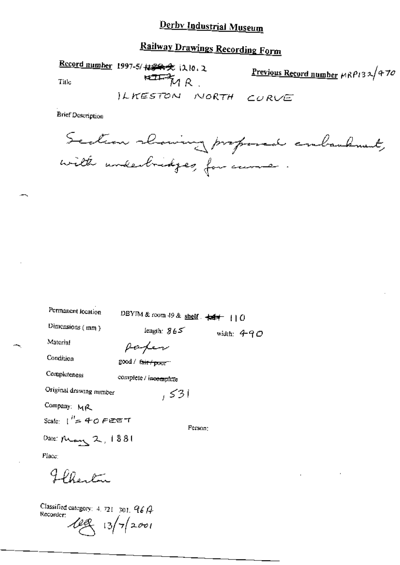# **Railway Drawings Recording Form**

Record number 1997-5/ ##### 1210.2 Previous Record number MRP132/470  $\overline{H}$  $M$   $R$ Title ILKESTON NORTH CURVE

**Brief Description** 

Section showing proposed conbandment, with underbridges, for came.

| Permanent location      | DBYIM & room 49 & shelf $\div$ $\div$ 1   0 |               |
|-------------------------|---------------------------------------------|---------------|
| Dimensions (mm)         | length: $865$                               | width: $4$ 90 |
| Material                | Paper                                       |               |
| Condition               | good / <del>(air / poor</del> =1            |               |
| Completeness            | complete / incomplete                       |               |
| Original drawing number | ا 3کی                                       |               |
| Company: MR             |                                             |               |
| Scale: $1'' = 40$ PEET  |                                             | Person:       |
| Date: May $2,1881$      |                                             |               |
| Place:                  |                                             |               |
| Flentan                 |                                             |               |
|                         |                                             |               |

Classified category: 4, 721-301,  $96A$ Recorder:  $48/72001$